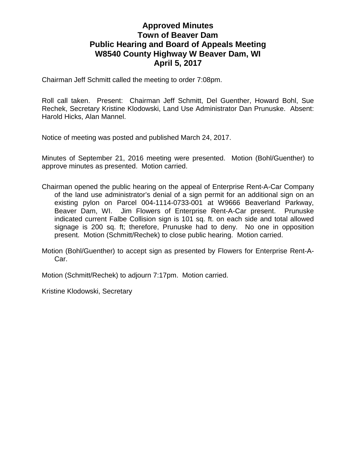## **Approved Minutes Town of Beaver Dam Public Hearing and Board of Appeals Meeting W8540 County Highway W Beaver Dam, WI April 5, 2017**

Chairman Jeff Schmitt called the meeting to order 7:08pm.

Roll call taken. Present: Chairman Jeff Schmitt, Del Guenther, Howard Bohl, Sue Rechek, Secretary Kristine Klodowski, Land Use Administrator Dan Prunuske. Absent: Harold Hicks, Alan Mannel.

Notice of meeting was posted and published March 24, 2017.

Minutes of September 21, 2016 meeting were presented. Motion (Bohl/Guenther) to approve minutes as presented. Motion carried.

Chairman opened the public hearing on the appeal of Enterprise Rent-A-Car Company of the land use administrator's denial of a sign permit for an additional sign on an existing pylon on Parcel 004-1114-0733-001 at W9666 Beaverland Parkway, Beaver Dam, WI. Jim Flowers of Enterprise Rent-A-Car present. Prunuske indicated current Falbe Collision sign is 101 sq. ft. on each side and total allowed signage is 200 sq. ft; therefore, Prunuske had to deny. No one in opposition present. Motion (Schmitt/Rechek) to close public hearing. Motion carried.

Motion (Bohl/Guenther) to accept sign as presented by Flowers for Enterprise Rent-A-Car.

Motion (Schmitt/Rechek) to adjourn 7:17pm. Motion carried.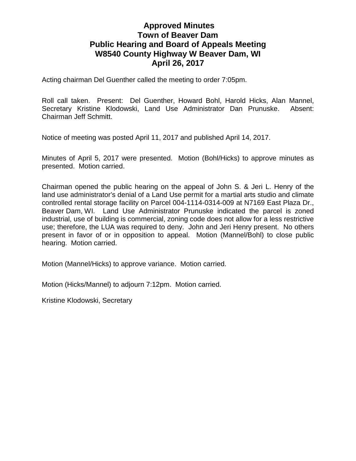## **Approved Minutes Town of Beaver Dam Public Hearing and Board of Appeals Meeting W8540 County Highway W Beaver Dam, WI April 26, 2017**

Acting chairman Del Guenther called the meeting to order 7:05pm.

Roll call taken. Present: Del Guenther, Howard Bohl, Harold Hicks, Alan Mannel, Secretary Kristine Klodowski, Land Use Administrator Dan Prunuske. Absent: Chairman Jeff Schmitt.

Notice of meeting was posted April 11, 2017 and published April 14, 2017.

Minutes of April 5, 2017 were presented. Motion (Bohl/Hicks) to approve minutes as presented. Motion carried.

Chairman opened the public hearing on the appeal of John S. & Jeri L. Henry of the land use administrator's denial of a Land Use permit for a martial arts studio and climate controlled rental storage facility on Parcel 004-1114-0314-009 at N7169 East Plaza Dr., Beaver Dam, WI. Land Use Administrator Prunuske indicated the parcel is zoned industrial, use of building is commercial, zoning code does not allow for a less restrictive use; therefore, the LUA was required to deny. John and Jeri Henry present. No others present in favor of or in opposition to appeal. Motion (Mannel/Bohl) to close public hearing. Motion carried.

Motion (Mannel/Hicks) to approve variance. Motion carried.

Motion (Hicks/Mannel) to adjourn 7:12pm. Motion carried.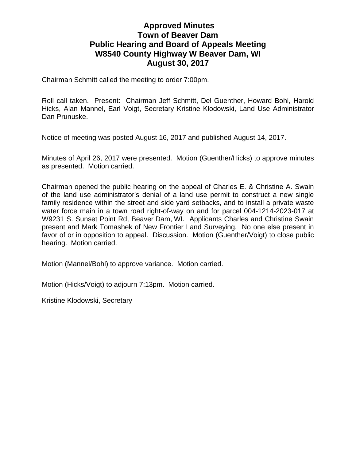## **Approved Minutes Town of Beaver Dam Public Hearing and Board of Appeals Meeting W8540 County Highway W Beaver Dam, WI August 30, 2017**

Chairman Schmitt called the meeting to order 7:00pm.

Roll call taken. Present: Chairman Jeff Schmitt, Del Guenther, Howard Bohl, Harold Hicks, Alan Mannel, Earl Voigt, Secretary Kristine Klodowski, Land Use Administrator Dan Prunuske.

Notice of meeting was posted August 16, 2017 and published August 14, 2017.

Minutes of April 26, 2017 were presented. Motion (Guenther/Hicks) to approve minutes as presented. Motion carried.

Chairman opened the public hearing on the appeal of Charles E. & Christine A. Swain of the land use administrator's denial of a land use permit to construct a new single family residence within the street and side yard setbacks, and to install a private waste water force main in a town road right-of-way on and for parcel 004-1214-2023-017 at W9231 S. Sunset Point Rd, Beaver Dam, WI. Applicants Charles and Christine Swain present and Mark Tomashek of New Frontier Land Surveying. No one else present in favor of or in opposition to appeal. Discussion. Motion (Guenther/Voigt) to close public hearing. Motion carried.

Motion (Mannel/Bohl) to approve variance. Motion carried.

Motion (Hicks/Voigt) to adjourn 7:13pm. Motion carried.